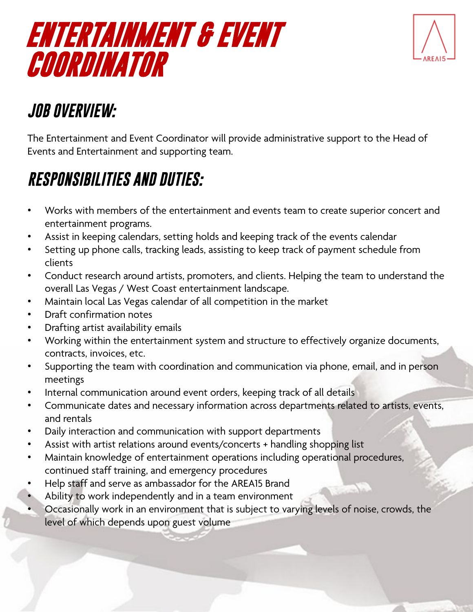# **ENTERTAINMENT & EVENT COORDINATOR**



## *JOB OVERVIEW:*

The Entertainment and Event Coordinator will provide administrative support to the Head of Events and Entertainment and supporting team.

## *RESPONSIBILITIES AND DUTIES:*

- Works with members of the entertainment and events team to create superior concert and entertainment programs.
- Assist in keeping calendars, setting holds and keeping track of the events calendar
- Setting up phone calls, tracking leads, assisting to keep track of payment schedule from clients
- Conduct research around artists, promoters, and clients. Helping the team to understand the overall Las Vegas / West Coast entertainment landscape.
- Maintain local Las Vegas calendar of all competition in the market
- Draft confirmation notes
- Drafting artist availability emails
- Working within the entertainment system and structure to effectively organize documents, contracts, invoices, etc.
- Supporting the team with coordination and communication via phone, email, and in person meetings
- Internal communication around event orders, keeping track of all details
- Communicate dates and necessary information across departments related to artists, events, and rentals
- Daily interaction and communication with support departments
- Assist with artist relations around events/concerts + handling shopping list
- Maintain knowledge of entertainment operations including operational procedures, continued staff training, and emergency procedures
- Help staff and serve as ambassador for the AREA15 Brand
- Ability to work independently and in a team environment
	- Occasionally work in an environment that is subject to varying levels of noise, crowds, the level of which depends upon guest volume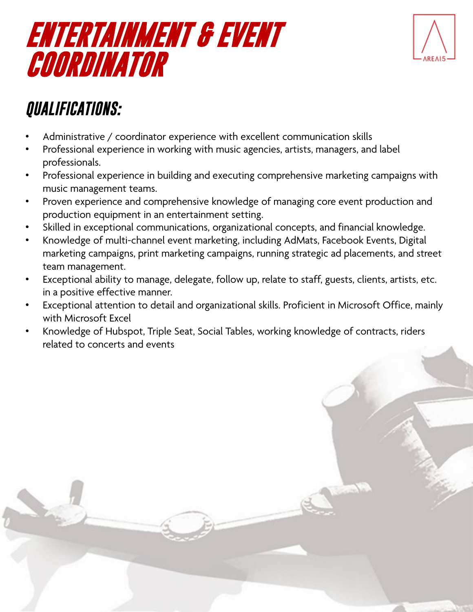# **ENTERTAINMENT & EVENT COORDINATOR**



### *QUALIFICATIONS:*

- Administrative / coordinator experience with excellent communication skills
- Professional experience in working with music agencies, artists, managers, and label professionals.
- Professional experience in building and executing comprehensive marketing campaigns with music management teams.
- Proven experience and comprehensive knowledge of managing core event production and production equipment in an entertainment setting.
- Skilled in exceptional communications, organizational concepts, and financial knowledge.
- Knowledge of multi-channel event marketing, including AdMats, Facebook Events, Digital marketing campaigns, print marketing campaigns, running strategic ad placements, and street team management.
- Exceptional ability to manage, delegate, follow up, relate to staff, guests, clients, artists, etc. in a positive effective manner.
- Exceptional attention to detail and organizational skills. Proficient in Microsoft Office, mainly with Microsoft Excel
- Knowledge of Hubspot, Triple Seat, Social Tables, working knowledge of contracts, riders related to concerts and events